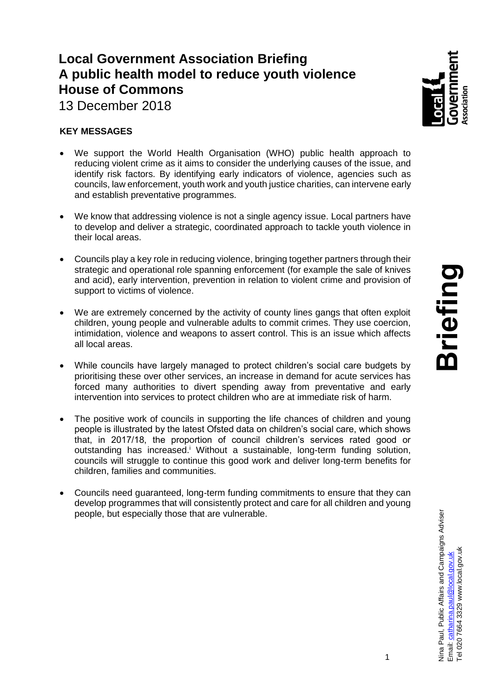# **Local Government Association Briefing A public health model to reduce youth violence House of Commons**



13 December 2018

## **KEY MESSAGES**

- We support the World Health Organisation (WHO) public health approach to reducing violent crime as it aims to consider the underlying causes of the issue, and identify risk factors. By identifying early indicators of violence, agencies such as councils, law enforcement, youth work and youth justice charities, can intervene early and establish preventative programmes.
- We know that addressing violence is not a single agency issue. Local partners have to develop and deliver a strategic, coordinated approach to tackle youth violence in their local areas.
- Councils play a key role in reducing violence, bringing together partners through their strategic and operational role spanning enforcement (for example the sale of knives and acid), early intervention, prevention in relation to violent crime and provision of support to victims of violence.
- We are extremely concerned by the activity of county lines gangs that often exploit children, young people and vulnerable adults to commit crimes. They use coercion, intimidation, violence and weapons to assert control. This is an issue which affects all local areas.
- While councils have largely managed to protect children's social care budgets by prioritising these over other services, an increase in demand for acute services has forced many authorities to divert spending away from preventative and early intervention into services to protect children who are at immediate risk of harm.
- The positive work of councils in supporting the life chances of children and young people is illustrated by the latest Ofsted data on children's social care, which shows that, in 2017/18, the proportion of council children's services rated good or outstanding has increased.<sup>i</sup> Without a sustainable, long-term funding solution, councils will struggle to continue this good work and deliver long-term benefits for children, families and communities.
- Councils need guaranteed, long-term funding commitments to ensure that they can develop programmes that will consistently protect and care for all children and young people, but especially those that are vulnerable.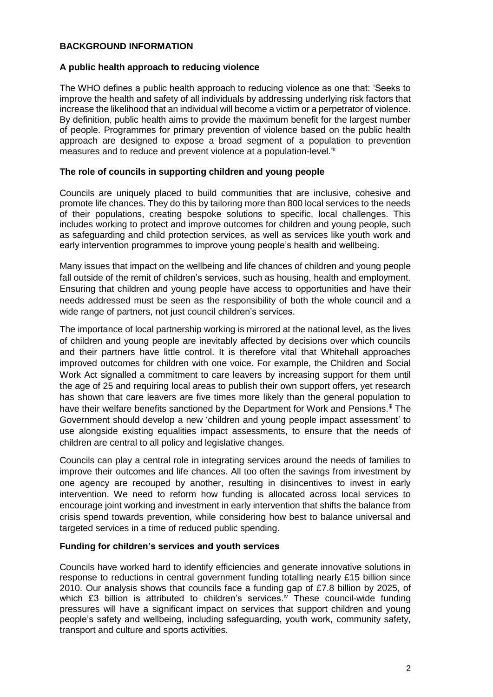## **BACKGROUND INFORMATION**

## **A public health approach to reducing violence**

The WHO defines a public health approach to reducing violence as one that: 'Seeks to improve the health and safety of all individuals by addressing underlying risk factors that increase the likelihood that an individual will become a victim or a perpetrator of violence. By definition, public health aims to provide the maximum benefit for the largest number of people. Programmes for primary prevention of violence based on the public health approach are designed to expose a broad segment of a population to prevention measures and to reduce and prevent violence at a population-level.<sup>'ii</sup>

## **The role of councils in supporting children and young people**

Councils are uniquely placed to build communities that are inclusive, cohesive and promote life chances. They do this by tailoring more than 800 local services to the needs of their populations, creating bespoke solutions to specific, local challenges. This includes working to protect and improve outcomes for children and young people, such as safeguarding and child protection services, as well as services like youth work and early intervention programmes to improve young people's health and wellbeing.

Many issues that impact on the wellbeing and life chances of children and young people fall outside of the remit of children's services, such as housing, health and employment. Ensuring that children and young people have access to opportunities and have their needs addressed must be seen as the responsibility of both the whole council and a wide range of partners, not just council children's services.

The importance of local partnership working is mirrored at the national level, as the lives of children and young people are inevitably affected by decisions over which councils and their partners have little control. It is therefore vital that Whitehall approaches improved outcomes for children with one voice. For example, the Children and Social Work Act signalled a commitment to care leavers by increasing support for them until the age of 25 and requiring local areas to publish their own support offers, yet research has shown that care leavers are five times more likely than the general population to have their welfare benefits sanctioned by the Department for Work and Pensions.<sup>iii</sup> The Government should develop a new 'children and young people impact assessment' to use alongside existing equalities impact assessments, to ensure that the needs of children are central to all policy and legislative changes.

Councils can play a central role in integrating services around the needs of families to improve their outcomes and life chances. All too often the savings from investment by one agency are recouped by another, resulting in disincentives to invest in early intervention. We need to reform how funding is allocated across local services to encourage joint working and investment in early intervention that shifts the balance from crisis spend towards prevention, while considering how best to balance universal and targeted services in a time of reduced public spending.

## **Funding for children's services and youth services**

Councils have worked hard to identify efficiencies and generate innovative solutions in response to reductions in central government funding totalling nearly £15 billion since 2010. Our analysis shows that councils face a funding gap of £7.8 billion by 2025, of which  $£3$  billion is attributed to children's services.<sup>iv</sup> These council-wide funding pressures will have a significant impact on services that support children and young people's safety and wellbeing, including safeguarding, youth work, community safety, transport and culture and sports activities.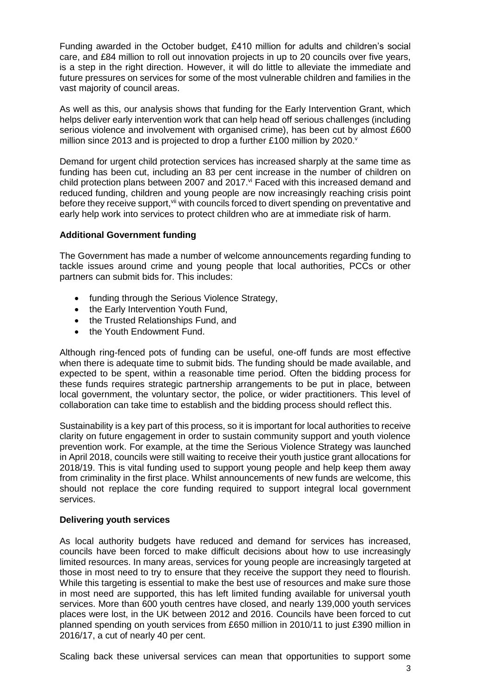Funding awarded in the October budget, £410 million for adults and children's social care, and £84 million to roll out innovation projects in up to 20 councils over five years, is a step in the right direction. However, it will do little to alleviate the immediate and future pressures on services for some of the most vulnerable children and families in the vast majority of council areas.

As well as this, our analysis shows that funding for the Early Intervention Grant, which helps deliver early intervention work that can help head off serious challenges (including serious violence and involvement with organised crime), has been cut by almost £600 million since 2013 and is projected to drop a further £100 million by 2020. $v$ 

Demand for urgent child protection services has increased sharply at the same time as funding has been cut, including an 83 per cent increase in the number of children on child protection plans between 2007 and 2017.<sup>vi</sup> Faced with this increased demand and reduced funding, children and young people are now increasingly reaching crisis point before they receive support, vii with councils forced to divert spending on preventative and early help work into services to protect children who are at immediate risk of harm.

#### **Additional Government funding**

The Government has made a number of welcome announcements regarding funding to tackle issues around crime and young people that local authorities, PCCs or other partners can submit bids for. This includes:

- funding through the Serious Violence Strategy,
- the Early Intervention Youth Fund,
- the Trusted Relationships Fund, and
- the Youth Endowment Fund.

Although ring-fenced pots of funding can be useful, one-off funds are most effective when there is adequate time to submit bids. The funding should be made available, and expected to be spent, within a reasonable time period. Often the bidding process for these funds requires strategic partnership arrangements to be put in place, between local government, the voluntary sector, the police, or wider practitioners. This level of collaboration can take time to establish and the bidding process should reflect this.

Sustainability is a key part of this process, so it is important for local authorities to receive clarity on future engagement in order to sustain community support and youth violence prevention work. For example, at the time the Serious Violence Strategy was launched in April 2018, councils were still waiting to receive their youth justice grant allocations for 2018/19. This is vital funding used to support young people and help keep them away from criminality in the first place. Whilst announcements of new funds are welcome, this should not replace the core funding required to support integral local government services.

#### **Delivering youth services**

As local authority budgets have reduced and demand for services has increased, councils have been forced to make difficult decisions about how to use increasingly limited resources. In many areas, services for young people are increasingly targeted at those in most need to try to ensure that they receive the support they need to flourish. While this targeting is essential to make the best use of resources and make sure those in most need are supported, this has left limited funding available for universal youth services. More than 600 youth centres have closed, and nearly 139,000 youth services places were lost, in the UK between 2012 and 2016. Councils have been forced to cut planned spending on youth services from £650 million in 2010/11 to just £390 million in 2016/17, a cut of nearly 40 per cent.

Scaling back these universal services can mean that opportunities to support some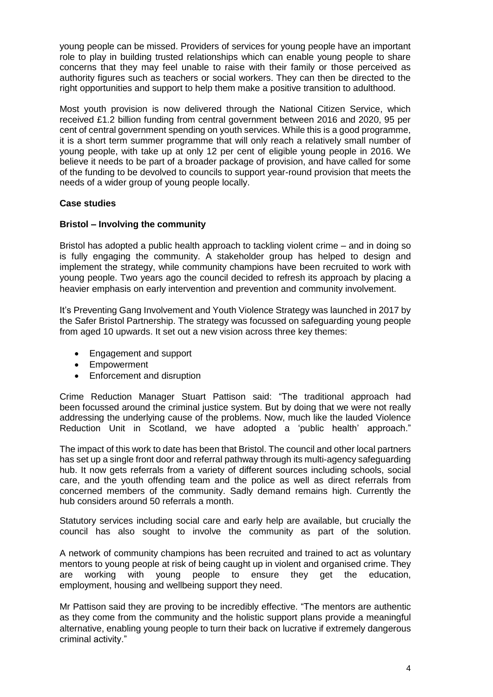young people can be missed. Providers of services for young people have an important role to play in building trusted relationships which can enable young people to share concerns that they may feel unable to raise with their family or those perceived as authority figures such as teachers or social workers. They can then be directed to the right opportunities and support to help them make a positive transition to adulthood.

Most youth provision is now delivered through the National Citizen Service, which received £1.2 billion funding from central government between 2016 and 2020, 95 per cent of central government spending on youth services. While this is a good programme, it is a short term summer programme that will only reach a relatively small number of young people, with take up at only 12 per cent of eligible young people in 2016. We believe it needs to be part of a broader package of provision, and have called for some of the funding to be devolved to councils to support year-round provision that meets the needs of a wider group of young people locally.

## **Case studies**

## **Bristol – Involving the community**

Bristol has adopted a public health approach to tackling violent crime – and in doing so is fully engaging the community. A stakeholder group has helped to design and implement the strategy, while community champions have been recruited to work with young people. Two years ago the council decided to refresh its approach by placing a heavier emphasis on early intervention and prevention and community involvement.

It's Preventing Gang Involvement and Youth Violence Strategy was launched in 2017 by the Safer Bristol Partnership. The strategy was focussed on safeguarding young people from aged 10 upwards. It set out a new vision across three key themes:

- Engagement and support
- Empowerment
- Enforcement and disruption

Crime Reduction Manager Stuart Pattison said: "The traditional approach had been focussed around the criminal justice system. But by doing that we were not really addressing the underlying cause of the problems. Now, much like the lauded Violence Reduction Unit in Scotland, we have adopted a 'public health' approach."

The impact of this work to date has been that Bristol. The council and other local partners has set up a single front door and referral pathway through its multi-agency safeguarding hub. It now gets referrals from a variety of different sources including schools, social care, and the youth offending team and the police as well as direct referrals from concerned members of the community. Sadly demand remains high. Currently the hub considers around 50 referrals a month.

Statutory services including social care and early help are available, but crucially the council has also sought to involve the community as part of the solution.

A network of community champions has been recruited and trained to act as voluntary mentors to young people at risk of being caught up in violent and organised crime. They are working with young people to ensure they get the education, employment, housing and wellbeing support they need.

Mr Pattison said they are proving to be incredibly effective. "The mentors are authentic as they come from the community and the holistic support plans provide a meaningful alternative, enabling young people to turn their back on lucrative if extremely dangerous criminal activity."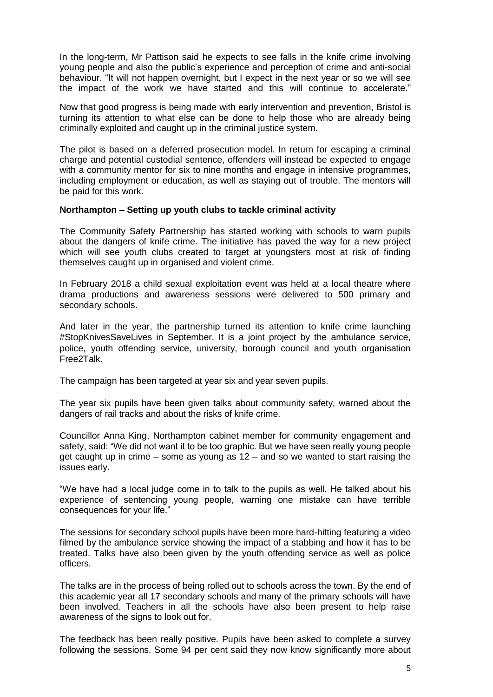In the long-term, Mr Pattison said he expects to see falls in the knife crime involving young people and also the public's experience and perception of crime and anti-social behaviour. "It will not happen overnight, but I expect in the next year or so we will see the impact of the work we have started and this will continue to accelerate."

Now that good progress is being made with early intervention and prevention, Bristol is turning its attention to what else can be done to help those who are already being criminally exploited and caught up in the criminal justice system.

The pilot is based on a deferred prosecution model. In return for escaping a criminal charge and potential custodial sentence, offenders will instead be expected to engage with a community mentor for six to nine months and engage in intensive programmes, including employment or education, as well as staying out of trouble. The mentors will be paid for this work.

#### **Northampton – Setting up youth clubs to tackle criminal activity**

The Community Safety Partnership has started working with schools to warn pupils about the dangers of knife crime. The initiative has paved the way for a new project which will see youth clubs created to target at youngsters most at risk of finding themselves caught up in organised and violent crime.

In February 2018 a child sexual exploitation event was held at a local theatre where drama productions and awareness sessions were delivered to 500 primary and secondary schools.

And later in the year, the partnership turned its attention to knife crime launching #StopKnivesSaveLives in September. It is a joint project by the ambulance service, police, youth offending service, university, borough council and youth organisation Free2Talk.

The campaign has been targeted at year six and year seven pupils.

The year six pupils have been given talks about community safety, warned about the dangers of rail tracks and about the risks of knife crime.

Councillor Anna King, Northampton cabinet member for community engagement and safety, said: "We did not want it to be too graphic. But we have seen really young people get caught up in crime – some as young as 12 – and so we wanted to start raising the issues early.

"We have had a local judge come in to talk to the pupils as well. He talked about his experience of sentencing young people, warning one mistake can have terrible consequences for your life."

The sessions for secondary school pupils have been more hard-hitting featuring a video filmed by the ambulance service showing the impact of a stabbing and how it has to be treated. Talks have also been given by the youth offending service as well as police officers.

The talks are in the process of being rolled out to schools across the town. By the end of this academic year all 17 secondary schools and many of the primary schools will have been involved. Teachers in all the schools have also been present to help raise awareness of the signs to look out for.

The feedback has been really positive. Pupils have been asked to complete a survey following the sessions. Some 94 per cent said they now know significantly more about